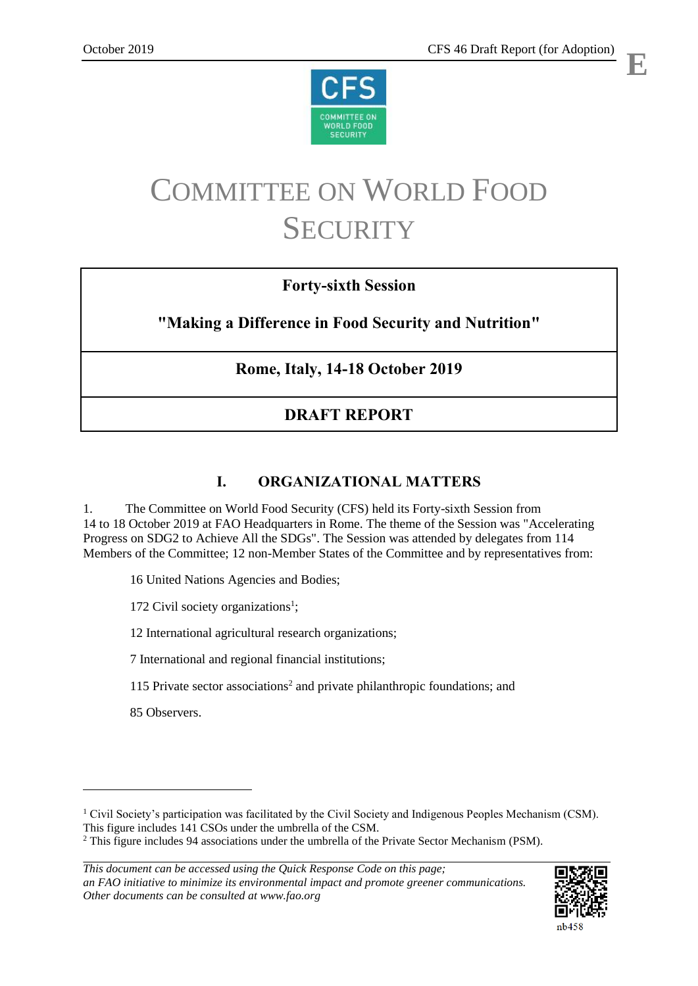



# COMMITTEE ON WORLD FOOD **SECURITY**

## **Forty-sixth Session**

## **"Making a Difference in Food Security and Nutrition"**

## **Rome, Italy, 14-18 October 2019**

# **DRAFT REPORT**

## **I. ORGANIZATIONAL MATTERS**

1. The Committee on World Food Security (CFS) held its Forty-sixth Session from 14 to 18 October 2019 at FAO Headquarters in Rome. The theme of the Session was "Accelerating Progress on SDG2 to Achieve All the SDGs". The Session was attended by delegates from 114 Members of the Committee; 12 non-Member States of the Committee and by representatives from:

16 United Nations Agencies and Bodies;

172 Civil society organizations<sup>1</sup>;

12 International agricultural research organizations;

7 International and regional financial institutions;

115 Private sector associations<sup>2</sup> and private philanthropic foundations; and

85 Observers.

 $\overline{a}$ 

*This document can be accessed using the Quick Response Code on this page; an FAO initiative to minimize its environmental impact and promote greener communications. Other documents can be consulted at www.fao.org* 



<sup>&</sup>lt;sup>1</sup> Civil Society's participation was facilitated by the Civil Society and Indigenous Peoples Mechanism (CSM). This figure includes 141 CSOs under the umbrella of the CSM.

<sup>&</sup>lt;sup>2</sup> This figure includes 94 associations under the umbrella of the Private Sector Mechanism (PSM).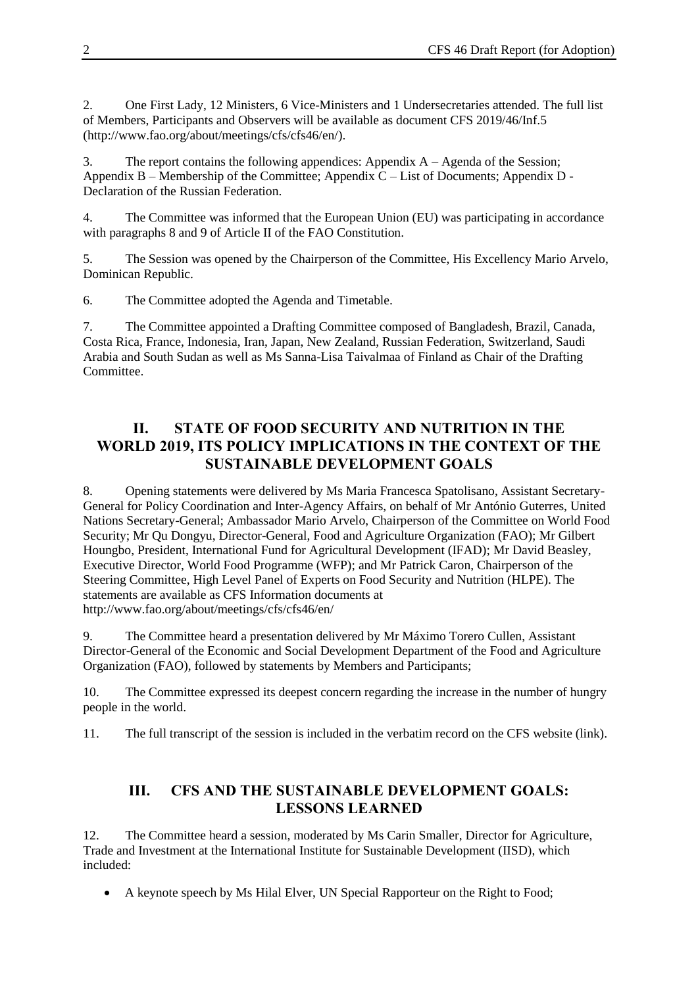2. One First Lady, 12 Ministers, 6 Vice-Ministers and 1 Undersecretaries attended. The full list of Members, Participants and Observers will be available as document CFS 2019/46/Inf.5 [\(http://www.fao.org/about/meetings/cfs/cfs46/en/\)](http://www.fao.org/about/meetings/cfs/cfs46/en/).

3. The report contains the following appendices: Appendix A – Agenda of the Session; Appendix B – Membership of the Committee; Appendix C – List of Documents; Appendix D - Declaration of the Russian Federation.

4. The Committee was informed that the European Union (EU) was participating in accordance with paragraphs 8 and 9 of Article II of the FAO Constitution.

5. The Session was opened by the Chairperson of the Committee, His Excellency Mario Arvelo, Dominican Republic.

6. The Committee adopted the Agenda and Timetable.

7. The Committee appointed a Drafting Committee composed of Bangladesh, Brazil, Canada, Costa Rica, France, Indonesia, Iran, Japan, New Zealand, Russian Federation, Switzerland, Saudi Arabia and South Sudan as well as Ms Sanna-Lisa Taivalmaa of Finland as Chair of the Drafting Committee.

## **II. STATE OF FOOD SECURITY AND NUTRITION IN THE WORLD 2019, ITS POLICY IMPLICATIONS IN THE CONTEXT OF THE SUSTAINABLE DEVELOPMENT GOALS**

8. Opening statements were delivered by Ms Maria Francesca Spatolisano, Assistant Secretary-General for Policy Coordination and Inter-Agency Affairs, on behalf of Mr António Guterres, United Nations Secretary-General; Ambassador Mario Arvelo, Chairperson of the Committee on World Food Security; Mr Qu Dongyu, Director-General, Food and Agriculture Organization (FAO); Mr Gilbert Houngbo, President, International Fund for Agricultural Development (IFAD); Mr David Beasley, Executive Director, World Food Programme (WFP); and Mr Patrick Caron, Chairperson of the Steering Committee, High Level Panel of Experts on Food Security and Nutrition (HLPE). The statements are available as CFS Information documents at <http://www.fao.org/about/meetings/cfs/cfs46/en/>

9. The Committee heard a presentation delivered by Mr Máximo Torero Cullen, Assistant Director-General of the Economic and Social Development Department of the Food and Agriculture Organization (FAO), followed by statements by Members and Participants;

10. The Committee expressed its deepest concern regarding the increase in the number of hungry people in the world.

11. The full transcript of the session is included in the verbatim record on the CFS website (link).

#### **III. CFS AND THE SUSTAINABLE DEVELOPMENT GOALS: LESSONS LEARNED**

12. The Committee heard a session, moderated by Ms Carin Smaller, Director for Agriculture, Trade and Investment at the International Institute for Sustainable Development (IISD), which included:

A keynote speech by Ms Hilal Elver, UN Special Rapporteur on the Right to Food;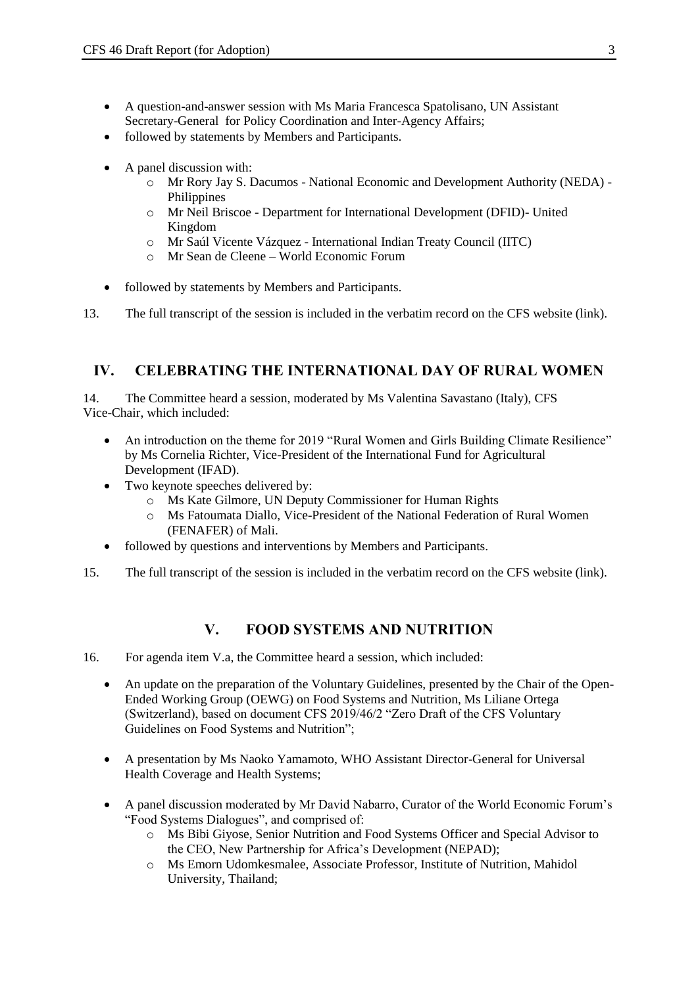- A question-and-answer session with Ms Maria Francesca Spatolisano, UN Assistant Secretary-General for Policy Coordination and Inter-Agency Affairs;
- followed by statements by Members and Participants.
- A panel discussion with:
	- o Mr Rory Jay S. Dacumos National Economic and Development Authority (NEDA) Philippines
	- o Mr Neil Briscoe Department for International Development (DFID)- United Kingdom
	- o Mr Saúl Vicente Vázquez International Indian Treaty Council (IITC)
	- o Mr Sean de Cleene World Economic Forum
- followed by statements by Members and Participants.

13. The full transcript of the session is included in the verbatim record on the CFS website (link).

#### **IV. CELEBRATING THE INTERNATIONAL DAY OF RURAL WOMEN**

14. The Committee heard a session, moderated by Ms Valentina Savastano (Italy), CFS Vice-Chair, which included:

- An introduction on the theme for 2019 "Rural Women and Girls Building Climate Resilience" by Ms Cornelia Richter, Vice-President of the International Fund for Agricultural Development (IFAD).
- Two keynote speeches delivered by:
	- o Ms Kate Gilmore, UN Deputy Commissioner for Human Rights
	- o Ms Fatoumata Diallo, Vice-President of the National Federation of Rural Women (FENAFER) of Mali.
- followed by questions and interventions by Members and Participants.
- 15. The full transcript of the session is included in the verbatim record on the CFS website (link).

#### **V. FOOD SYSTEMS AND NUTRITION**

- 16. For agenda item V.a, the Committee heard a session, which included:
	- An update on the preparation of the Voluntary Guidelines, presented by the Chair of the Open-Ended Working Group (OEWG) on Food Systems and Nutrition, Ms Liliane Ortega (Switzerland), based on document CFS 2019/46/2 "Zero Draft of the CFS Voluntary Guidelines on Food Systems and Nutrition";
	- A presentation by Ms Naoko Yamamoto, WHO Assistant Director-General for Universal Health Coverage and Health Systems;
	- A panel discussion moderated by Mr David Nabarro, Curator of the World Economic Forum's "Food Systems Dialogues", and comprised of:
		- o Ms Bibi Giyose, Senior Nutrition and Food Systems Officer and Special Advisor to the CEO, New Partnership for Africa's Development (NEPAD);
		- o Ms Emorn Udomkesmalee, Associate Professor, Institute of Nutrition, Mahidol University, Thailand;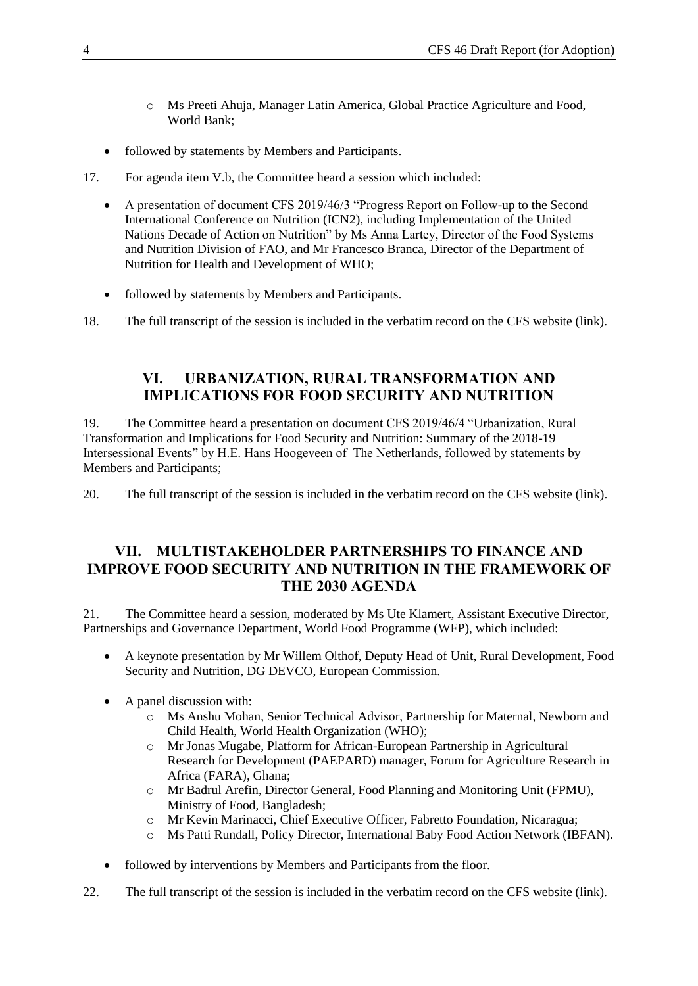- o Ms Preeti Ahuja, Manager Latin America, Global Practice Agriculture and Food, World Bank;
- followed by statements by Members and Participants.
- 17. For agenda item V.b, the Committee heard a session which included:
	- A presentation of document CFS 2019/46/3 "Progress Report on Follow-up to the Second International Conference on Nutrition (ICN2), including Implementation of the United Nations Decade of Action on Nutrition" by Ms Anna Lartey, Director of the Food Systems and Nutrition Division of FAO, and Mr Francesco Branca, Director of the Department of Nutrition for Health and Development of WHO;
	- followed by statements by Members and Participants.
- 18. The full transcript of the session is included in the verbatim record on the CFS website (link).

#### **VI. URBANIZATION, RURAL TRANSFORMATION AND IMPLICATIONS FOR FOOD SECURITY AND NUTRITION**

19. The Committee heard a presentation on document CFS 2019/46/4 "Urbanization, Rural Transformation and Implications for Food Security and Nutrition: Summary of the 2018-19 Intersessional Events" by H.E. Hans Hoogeveen of The Netherlands, followed by statements by Members and Participants;

20. The full transcript of the session is included in the verbatim record on the CFS website (link).

#### **VII. MULTISTAKEHOLDER PARTNERSHIPS TO FINANCE AND IMPROVE FOOD SECURITY AND NUTRITION IN THE FRAMEWORK OF THE 2030 AGENDA**

21. The Committee heard a session, moderated by Ms Ute Klamert, Assistant Executive Director, Partnerships and Governance Department, World Food Programme (WFP), which included:

- A keynote presentation by Mr Willem Olthof, Deputy Head of Unit, Rural Development, Food Security and Nutrition, DG DEVCO, European Commission.
- A panel discussion with:
	- o Ms Anshu Mohan, Senior Technical Advisor, Partnership for Maternal, Newborn and Child Health, World Health Organization (WHO);
	- o Mr Jonas Mugabe, Platform for African-European Partnership in Agricultural Research for Development (PAEPARD) manager, Forum for Agriculture Research in Africa (FARA), Ghana;
	- o Mr Badrul Arefin, Director General, Food Planning and Monitoring Unit (FPMU), Ministry of Food, Bangladesh;
	- o Mr Kevin Marinacci, Chief Executive Officer, Fabretto Foundation, Nicaragua;
	- o Ms Patti Rundall, Policy Director, International Baby Food Action Network (IBFAN).
- followed by interventions by Members and Participants from the floor.
- 22. The full transcript of the session is included in the verbatim record on the CFS website (link).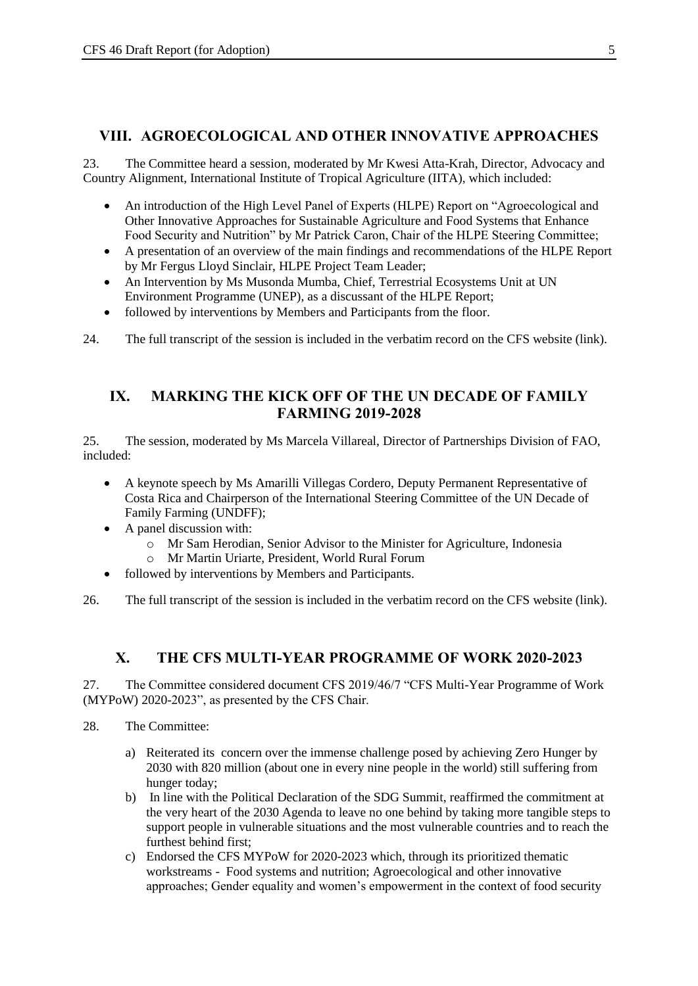#### **VIII. AGROECOLOGICAL AND OTHER INNOVATIVE APPROACHES**

23. The Committee heard a session, moderated by Mr Kwesi Atta-Krah, Director, Advocacy and Country Alignment, International Institute of Tropical Agriculture (IITA), which included:

- An introduction of the High Level Panel of Experts (HLPE) Report on "Agroecological and Other Innovative Approaches for Sustainable Agriculture and Food Systems that Enhance Food Security and Nutrition" by Mr Patrick Caron, Chair of the HLPE Steering Committee;
- A presentation of an overview of the main findings and recommendations of the HLPE Report by Mr Fergus Lloyd Sinclair, HLPE Project Team Leader;
- An Intervention by Ms Musonda Mumba, Chief, Terrestrial Ecosystems Unit at UN Environment Programme (UNEP), as a discussant of the HLPE Report;
- followed by interventions by Members and Participants from the floor.

24. The full transcript of the session is included in the verbatim record on the CFS website (link).

#### **IX. MARKING THE KICK OFF OF THE UN DECADE OF FAMILY FARMING 2019-2028**

25. The session, moderated by Ms Marcela Villareal, Director of Partnerships Division of FAO, included:

- A keynote speech by Ms Amarilli Villegas Cordero, Deputy Permanent Representative of Costa Rica and Chairperson of the International Steering Committee of the UN Decade of Family Farming (UNDFF);
- A panel discussion with:
	- o Mr Sam Herodian, Senior Advisor to the Minister for Agriculture, Indonesia
	- o Mr Martin Uriarte, President, World Rural Forum
- followed by interventions by Members and Participants.
- 26. The full transcript of the session is included in the verbatim record on the CFS website (link).

#### **X. THE CFS MULTI-YEAR PROGRAMME OF WORK 2020-2023**

27. The Committee considered document CFS 2019/46/7 "CFS Multi-Year Programme of Work (MYPoW) 2020-2023", as presented by the CFS Chair.

- 28. The Committee:
	- a) Reiterated its concern over the immense challenge posed by achieving Zero Hunger by 2030 with 820 million (about one in every nine people in the world) still suffering from hunger today;
	- b) In line with the Political Declaration of the SDG Summit, reaffirmed the commitment at the very heart of the 2030 Agenda to leave no one behind by taking more tangible steps to support people in vulnerable situations and the most vulnerable countries and to reach the furthest behind first;
	- c) Endorsed the CFS MYPoW for 2020-2023 which, through its prioritized thematic workstreams - Food systems and nutrition; Agroecological and other innovative approaches; Gender equality and women's empowerment in the context of food security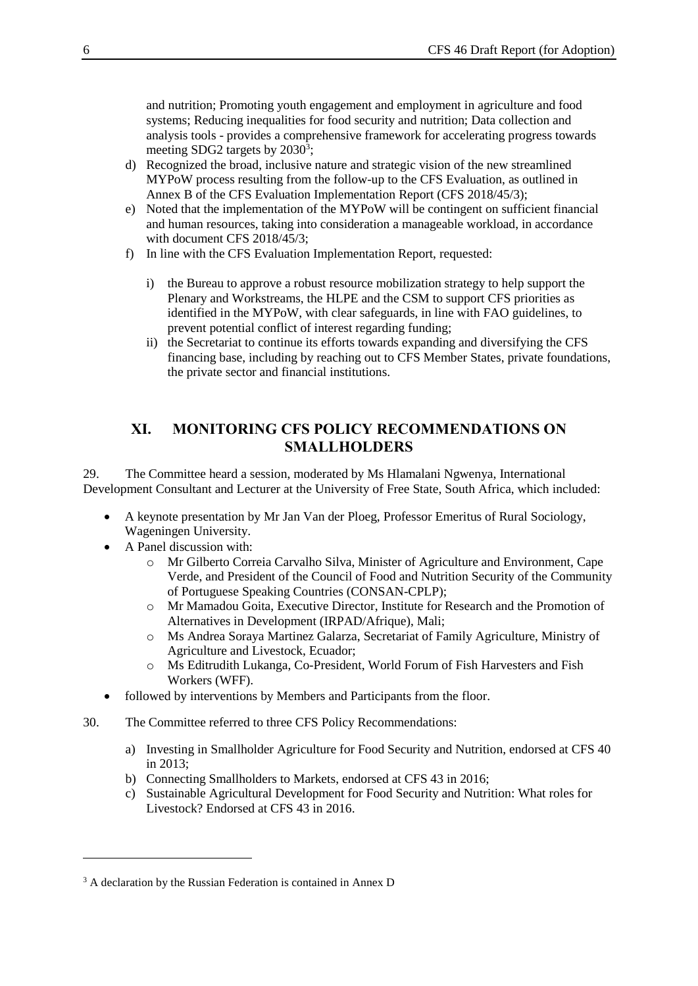and nutrition; Promoting youth engagement and employment in agriculture and food systems; Reducing inequalities for food security and nutrition; Data collection and analysis tools - provides a comprehensive framework for accelerating progress towards meeting SDG2 targets by  $2030^3$ ;

- d) Recognized the broad, inclusive nature and strategic vision of the new streamlined MYPoW process resulting from the follow-up to the CFS Evaluation, as outlined in Annex B of the CFS Evaluation Implementation Report (CFS 2018/45/3);
- e) Noted that the implementation of the MYPoW will be contingent on sufficient financial and human resources, taking into consideration a manageable workload, in accordance with document CFS 2018/45/3;
- f) In line with the CFS Evaluation Implementation Report, requested:
	- i) the Bureau to approve a robust resource mobilization strategy to help support the Plenary and Workstreams, the HLPE and the CSM to support CFS priorities as identified in the MYPoW, with clear safeguards, in line with FAO guidelines, to prevent potential conflict of interest regarding funding;
	- ii) the Secretariat to continue its efforts towards expanding and diversifying the CFS financing base, including by reaching out to CFS Member States, private foundations, the private sector and financial institutions.

#### **XI. MONITORING CFS POLICY RECOMMENDATIONS ON SMALLHOLDERS**

29. The Committee heard a session, moderated by Ms Hlamalani Ngwenya, International Development Consultant and Lecturer at the University of Free State, South Africa, which included:

- A keynote presentation by Mr Jan Van der Ploeg, Professor Emeritus of Rural Sociology, Wageningen University.
- A Panel discussion with:

l

- o Mr Gilberto Correia Carvalho Silva, Minister of Agriculture and Environment, Cape Verde, and President of the Council of Food and Nutrition Security of the Community of Portuguese Speaking Countries (CONSAN-CPLP);
- o Mr Mamadou Goita, Executive Director, Institute for Research and the Promotion of Alternatives in Development (IRPAD/Afrique), Mali;
- o Ms Andrea Soraya Martinez Galarza, Secretariat of Family Agriculture, Ministry of Agriculture and Livestock, Ecuador;
- o Ms Editrudith Lukanga, Co-President, World Forum of Fish Harvesters and Fish Workers (WFF).
- followed by interventions by Members and Participants from the floor.
- 30. The Committee referred to three CFS Policy Recommendations:
	- a) Investing in Smallholder Agriculture for Food Security and Nutrition, endorsed at CFS 40 in 2013;
	- b) Connecting Smallholders to Markets, endorsed at CFS 43 in 2016;
	- c) Sustainable Agricultural Development for Food Security and Nutrition: What roles for Livestock? Endorsed at CFS 43 in 2016.

<sup>&</sup>lt;sup>3</sup> A declaration by the Russian Federation is contained in Annex D